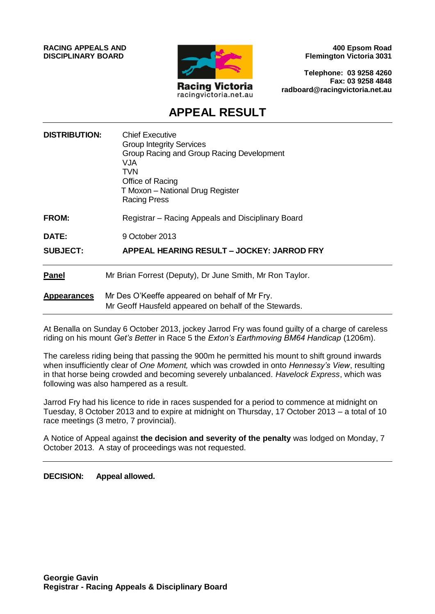**RACING APPEALS AND DISCIPLINARY BOARD**



**400 Epsom Road Flemington Victoria 3031**

**Telephone: 03 9258 4260 Fax: 03 9258 4848 radboard@racingvictoria.net.au**

# **APPEAL RESULT**

| <b>DISTRIBUTION:</b> | <b>Chief Executive</b><br><b>Group Integrity Services</b><br>Group Racing and Group Racing Development<br>VJA<br>TVN<br>Office of Racing<br>T Moxon - National Drug Register<br><b>Racing Press</b> |
|----------------------|-----------------------------------------------------------------------------------------------------------------------------------------------------------------------------------------------------|
| FROM:                | Registrar – Racing Appeals and Disciplinary Board                                                                                                                                                   |
| <b>DATE:</b>         | 9 October 2013                                                                                                                                                                                      |
| <b>SUBJECT:</b>      | APPEAL HEARING RESULT – JOCKEY: JARROD FRY                                                                                                                                                          |
| <b>Panel</b>         | Mr Brian Forrest (Deputy), Dr June Smith, Mr Ron Taylor.                                                                                                                                            |
| <b>Appearances</b>   | Mr Des O'Keeffe appeared on behalf of Mr Fry.<br>Mr Geoff Hausfeld appeared on behalf of the Stewards.                                                                                              |

At Benalla on Sunday 6 October 2013, jockey Jarrod Fry was found guilty of a charge of careless riding on his mount *Get's Better* in Race 5 the *Exton's Earthmoving BM64 Handicap* (1206m).

The careless riding being that passing the 900m he permitted his mount to shift ground inwards when insufficiently clear of *One Moment,* which was crowded in onto *Hennessy's View*, resulting in that horse being crowded and becoming severely unbalanced. *Havelock Express*, which was following was also hampered as a result.

Jarrod Fry had his licence to ride in races suspended for a period to commence at midnight on Tuesday, 8 October 2013 and to expire at midnight on Thursday, 17 October 2013 – a total of 10 race meetings (3 metro, 7 provincial).

A Notice of Appeal against **the decision and severity of the penalty** was lodged on Monday, 7 October 2013. A stay of proceedings was not requested.

**DECISION: Appeal allowed.**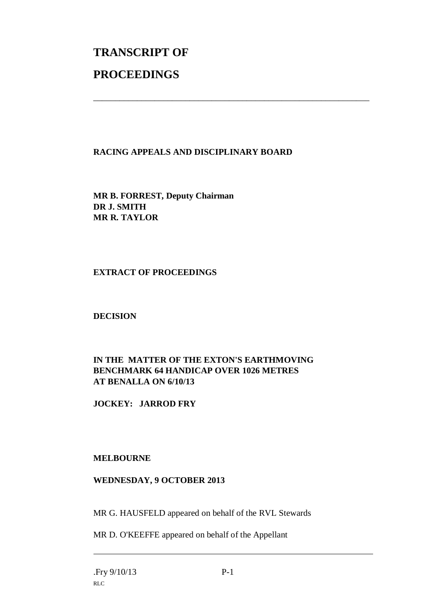# **TRANSCRIPT OF PROCEEDINGS**

#### **RACING APPEALS AND DISCIPLINARY BOARD**

\_\_\_\_\_\_\_\_\_\_\_\_\_\_\_\_\_\_\_\_\_\_\_\_\_\_\_\_\_\_\_\_\_\_\_\_\_\_\_\_\_\_\_\_\_\_\_\_\_\_\_\_\_\_\_\_\_\_\_\_\_\_\_

**MR B. FORREST, Deputy Chairman DR J. SMITH MR R. TAYLOR**

#### **EXTRACT OF PROCEEDINGS**

**DECISION**

## **IN THE MATTER OF THE EXTON'S EARTHMOVING BENCHMARK 64 HANDICAP OVER 1026 METRES AT BENALLA ON 6/10/13**

**JOCKEY: JARROD FRY**

## **MELBOURNE**

#### **WEDNESDAY, 9 OCTOBER 2013**

MR G. HAUSFELD appeared on behalf of the RVL Stewards

MR D. O'KEEFFE appeared on behalf of the Appellant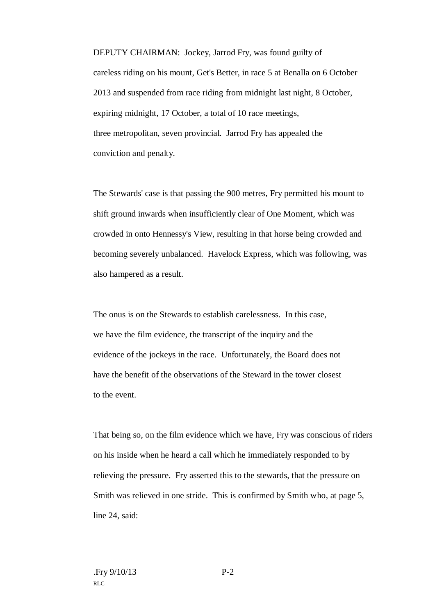DEPUTY CHAIRMAN: Jockey, Jarrod Fry, was found guilty of careless riding on his mount, Get's Better, in race 5 at Benalla on 6 October 2013 and suspended from race riding from midnight last night, 8 October, expiring midnight, 17 October, a total of 10 race meetings, three metropolitan, seven provincial. Jarrod Fry has appealed the conviction and penalty.

The Stewards' case is that passing the 900 metres, Fry permitted his mount to shift ground inwards when insufficiently clear of One Moment, which was crowded in onto Hennessy's View, resulting in that horse being crowded and becoming severely unbalanced. Havelock Express, which was following, was also hampered as a result.

The onus is on the Stewards to establish carelessness. In this case, we have the film evidence, the transcript of the inquiry and the evidence of the jockeys in the race. Unfortunately, the Board does not have the benefit of the observations of the Steward in the tower closest to the event.

That being so, on the film evidence which we have, Fry was conscious of riders on his inside when he heard a call which he immediately responded to by relieving the pressure. Fry asserted this to the stewards, that the pressure on Smith was relieved in one stride. This is confirmed by Smith who, at page 5, line 24, said: